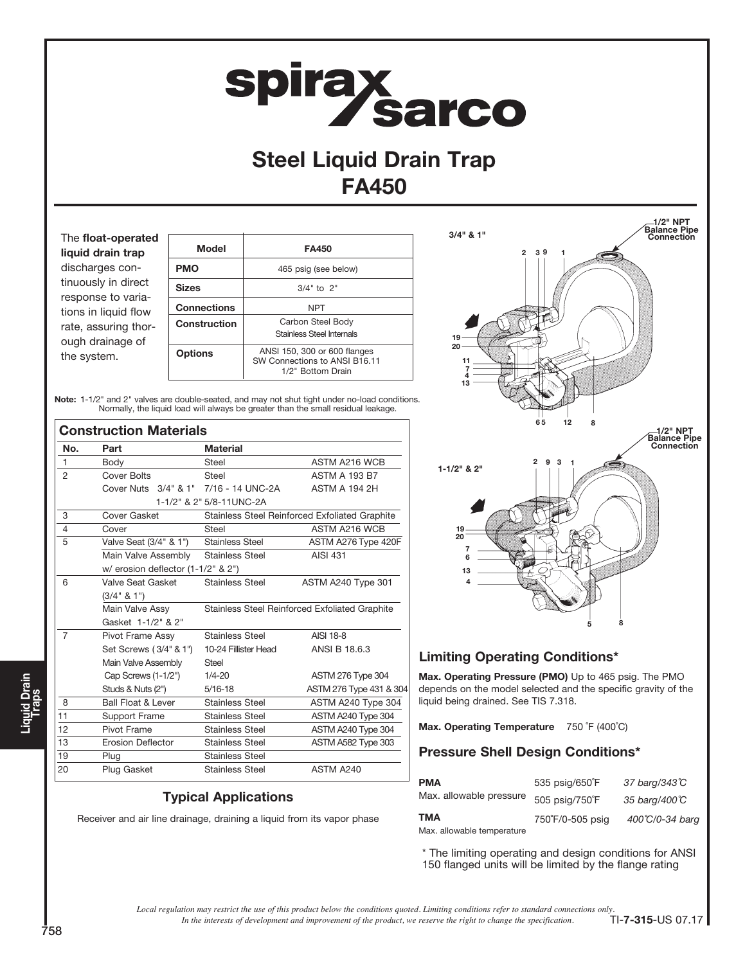# **spirax<br>Sarco**

# Steel Liquid Drain Trap FA450

The float-operated liquid drain trap discharges continuously in direct response to variations in liquid flow rate, assuring thorough drainage of the system.

| Model              | <b>FA450</b>                                                                       |  |  |  |  |
|--------------------|------------------------------------------------------------------------------------|--|--|--|--|
| <b>PMO</b>         | 465 psig (see below)                                                               |  |  |  |  |
| <b>Sizes</b>       | $3/4"$ to $2"$                                                                     |  |  |  |  |
| <b>Connections</b> | <b>NPT</b>                                                                         |  |  |  |  |
| Construction       | Carbon Steel Body<br><b>Stainless Steel Internals</b>                              |  |  |  |  |
| <b>Options</b>     | ANSI 150, 300 or 600 flanges<br>SW Connections to ANSI B16.11<br>1/2" Bottom Drain |  |  |  |  |

Note: 1-1/2" and 2" valves are double-seated, and may not shut tight under no-load conditions. Normally, the liquid load will always be greater than the small residual leakage.

|                | <b>Construction Materials</b>         |                                                |                                                |  |  |  |
|----------------|---------------------------------------|------------------------------------------------|------------------------------------------------|--|--|--|
| No.            | Part                                  | <b>Material</b>                                |                                                |  |  |  |
| $\mathbf{1}$   | Body                                  | ASTM A216 WCB<br>Steel                         |                                                |  |  |  |
| 2              | Cover Bolts                           | Steel                                          | <b>ASTM A 193 B7</b>                           |  |  |  |
|                | Cover Nuts 3/4" & 1" 7/16 - 14 UNC-2A |                                                | <b>ASTM A 194 2H</b>                           |  |  |  |
|                |                                       | 1-1/2" & 2" 5/8-11UNC-2A                       |                                                |  |  |  |
| 3              | Cover Gasket                          |                                                | Stainless Steel Reinforced Exfoliated Graphite |  |  |  |
| 4              | Cover                                 | Steel                                          | <b>ASTM A216 WCB</b>                           |  |  |  |
| 5              | Valve Seat (3/4" & 1")                | <b>Stainless Steel</b>                         | ASTM A276 Type 420F                            |  |  |  |
|                | Main Valve Assembly                   | <b>Stainless Steel</b>                         | <b>AISI 431</b>                                |  |  |  |
|                | w/ erosion deflector (1-1/2" & 2")    |                                                |                                                |  |  |  |
| 6              | Valve Seat Gasket                     | <b>Stainless Steel</b>                         | ASTM A240 Type 301                             |  |  |  |
|                | (3/4" 8 1")                           |                                                |                                                |  |  |  |
|                | Main Valve Assy                       | Stainless Steel Reinforced Exfoliated Graphite |                                                |  |  |  |
|                | Gasket 1-1/2" & 2"                    |                                                |                                                |  |  |  |
| $\overline{7}$ | Pivot Frame Assy                      | Stainless Steel                                | AISI 18-8                                      |  |  |  |
|                | Set Screws (3/4" & 1")                | 10-24 Fillister Head                           | ANSI B 18.6.3                                  |  |  |  |
|                | Main Valve Assembly                   | Steel                                          |                                                |  |  |  |
|                | Cap Screws (1-1/2")                   | $1/4 - 20$                                     | <b>ASTM 276 Type 304</b>                       |  |  |  |
|                | Studs & Nuts (2")                     | $5/16 - 18$                                    | ASTM 276 Type 431 & 304                        |  |  |  |
| 8              | <b>Ball Float &amp; Lever</b>         | <b>Stainless Steel</b>                         | ASTM A240 Type 304                             |  |  |  |
| 11             | <b>Support Frame</b>                  | <b>Stainless Steel</b><br>ASTM A240 Type 304   |                                                |  |  |  |
| 12             | Pivot Frame                           | <b>Stainless Steel</b>                         | ASTM A240 Type 304                             |  |  |  |
| 13             | <b>Erosion Deflector</b>              | <b>Stainless Steel</b>                         | ASTM A582 Type 303                             |  |  |  |
| 19             | Plug                                  | <b>Stainless Steel</b>                         |                                                |  |  |  |
| 20             | Plug Gasket                           | ASTM A240<br><b>Stainless Steel</b>            |                                                |  |  |  |

## Typical Applications

Receiver and air line drainage, draining a liquid from its vapor phase



## Limiting Operating Conditions\*

Max. Operating Pressure (PMO) Up to 465 psig. The PMO depends on the model selected and the specific gravity of the liquid being drained. See TIS 7.318.

Max. Operating Temperature 750 °F (400°C)

## Pressure Shell Design Conditions\*

| <b>PMA</b>                        | 535 psig/650°F   | 37 barg/343°C   |  |  |
|-----------------------------------|------------------|-----------------|--|--|
| Max. allowable pressure           | 505 psig/750°F   | 35 barg/400℃    |  |  |
| TMA<br>Max. allowable temperature | 750°F/0-505 psig | 400°C/0-34 barg |  |  |

\* The limiting operating and design conditions for ANSI 150 flanged units will be limited by the flange rating

*In the interests of development and improvement of the product, we reserve the right to change the specification. Local regulation may restrict the use of this product below the conditions quoted. Limiting conditions refer to standard connections only.*  $T$ I-7-315-US 07.17